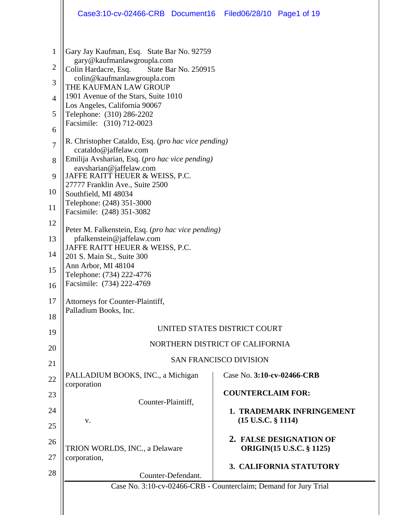|                                                                                                   | Case3:10-cv-02466-CRB Document16                                                                                                                                                                                                                                                                                                                                                                                                                                                                                                                                               | Filed06/28/10 Page1 of 19  |                                                            |  |  |
|---------------------------------------------------------------------------------------------------|--------------------------------------------------------------------------------------------------------------------------------------------------------------------------------------------------------------------------------------------------------------------------------------------------------------------------------------------------------------------------------------------------------------------------------------------------------------------------------------------------------------------------------------------------------------------------------|----------------------------|------------------------------------------------------------|--|--|
| $\mathbf{1}$<br>$\overline{2}$<br>3<br>$\overline{4}$<br>5<br>6<br>$\overline{7}$<br>8<br>9<br>10 | Gary Jay Kaufman, Esq. State Bar No. 92759<br>gary@kaufmanlawgroupla.com<br>Colin Hardacre, Esq.<br>State Bar No. 250915<br>colin@kaufmanlawgroupla.com<br>THE KAUFMAN LAW GROUP<br>1901 Avenue of the Stars, Suite 1010<br>Los Angeles, California 90067<br>Telephone: (310) 286-2202<br>Facsimile: (310) 712-0023<br>R. Christopher Cataldo, Esq. (pro hac vice pending)<br>ccataldo@jaffelaw.com<br>Emilija Avsharian, Esq. (pro hac vice pending)<br>eavsharian@jaffelaw.com<br>JAFFE RAITT HEUER & WEISS, P.C.<br>27777 Franklin Ave., Suite 2500<br>Southfield, MI 48034 |                            |                                                            |  |  |
| 11                                                                                                | Telephone: (248) 351-3000<br>Facsimile: (248) 351-3082                                                                                                                                                                                                                                                                                                                                                                                                                                                                                                                         |                            |                                                            |  |  |
| 12                                                                                                |                                                                                                                                                                                                                                                                                                                                                                                                                                                                                                                                                                                |                            |                                                            |  |  |
| 13                                                                                                | Peter M. Falkenstein, Esq. (pro hac vice pending)<br>pfalkenstein@jaffelaw.com                                                                                                                                                                                                                                                                                                                                                                                                                                                                                                 |                            |                                                            |  |  |
| 14                                                                                                | JAFFE RAITT HEUER & WEISS, P.C.<br>201 S. Main St., Suite 300                                                                                                                                                                                                                                                                                                                                                                                                                                                                                                                  |                            |                                                            |  |  |
| 15<br>16                                                                                          | Ann Arbor, MI 48104<br>Telephone: (734) 222-4776<br>Facsimile: (734) 222-4769                                                                                                                                                                                                                                                                                                                                                                                                                                                                                                  |                            |                                                            |  |  |
| 17                                                                                                | Attorneys for Counter-Plaintiff,<br>Palladium Books, Inc.                                                                                                                                                                                                                                                                                                                                                                                                                                                                                                                      |                            |                                                            |  |  |
| 18                                                                                                | UNITED STATES DISTRICT COURT                                                                                                                                                                                                                                                                                                                                                                                                                                                                                                                                                   |                            |                                                            |  |  |
| 19                                                                                                | NORTHERN DISTRICT OF CALIFORNIA                                                                                                                                                                                                                                                                                                                                                                                                                                                                                                                                                |                            |                                                            |  |  |
| 20                                                                                                | <b>SAN FRANCISCO DIVISION</b>                                                                                                                                                                                                                                                                                                                                                                                                                                                                                                                                                  |                            |                                                            |  |  |
| 21                                                                                                | PALLADIUM BOOKS, INC., a Michigan                                                                                                                                                                                                                                                                                                                                                                                                                                                                                                                                              | Case No. 3:10-cv-02466-CRB |                                                            |  |  |
| 22<br>23                                                                                          | corporation                                                                                                                                                                                                                                                                                                                                                                                                                                                                                                                                                                    | <b>COUNTERCLAIM FOR:</b>   |                                                            |  |  |
|                                                                                                   | Counter-Plaintiff,                                                                                                                                                                                                                                                                                                                                                                                                                                                                                                                                                             |                            |                                                            |  |  |
| 24<br>25                                                                                          | v.                                                                                                                                                                                                                                                                                                                                                                                                                                                                                                                                                                             | $(15$ U.S.C. $§$ 1114)     | <b>1. TRADEMARK INFRINGEMENT</b>                           |  |  |
| 26                                                                                                | TRION WORLDS, INC., a Delaware                                                                                                                                                                                                                                                                                                                                                                                                                                                                                                                                                 |                            | 2. FALSE DESIGNATION OF<br><b>ORIGIN(15 U.S.C. § 1125)</b> |  |  |
| 27                                                                                                | corporation,                                                                                                                                                                                                                                                                                                                                                                                                                                                                                                                                                                   |                            |                                                            |  |  |
| 28                                                                                                | Counter-Defendant.                                                                                                                                                                                                                                                                                                                                                                                                                                                                                                                                                             |                            | 3. CALIFORNIA STATUTORY                                    |  |  |
|                                                                                                   | Case No. 3:10-cv-02466-CRB - Counterclaim; Demand for Jury Trial                                                                                                                                                                                                                                                                                                                                                                                                                                                                                                               |                            |                                                            |  |  |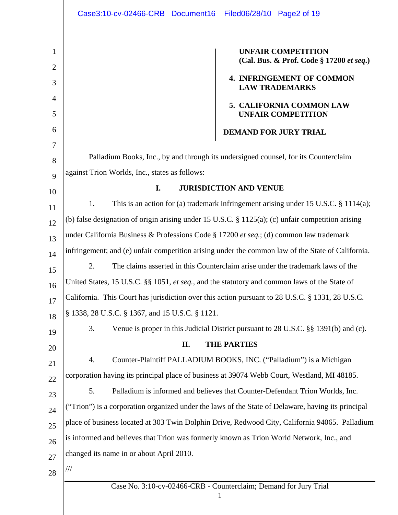Case No. 3:10-cv-02466-CRB **-** Counterclaim; Demand for Jury Trial 1 1 2 3 4 5 6 7 8 9 10 11 12 13 14 15 16 17 18 19 20 21 22 23 24 25 26 27 28  **UNFAIR COMPETITION (Cal. Bus. & Prof. Code § 17200** *et seq***.) 4. INFRINGEMENT OF COMMON LAW TRADEMARKS 5. CALIFORNIA COMMON LAW UNFAIR COMPETITION DEMAND FOR JURY TRIAL**  Palladium Books, Inc., by and through its undersigned counsel, for its Counterclaim against Trion Worlds, Inc., states as follows: **I. JURISDICTION AND VENUE**  1. This is an action for (a) trademark infringement arising under 15 U.S.C. § 1114(a); (b) false designation of origin arising under 15 U.S.C. § 1125(a); (c) unfair competition arising under California Business & Professions Code § 17200 *et seq.*; (d) common law trademark infringement; and (e) unfair competition arising under the common law of the State of California. 2. The claims asserted in this Counterclaim arise under the trademark laws of the United States, 15 U.S.C. §§ 1051, *et seq.*, and the statutory and common laws of the State of California. This Court has jurisdiction over this action pursuant to 28 U.S.C. § 1331, 28 U.S.C. § 1338, 28 U.S.C. § 1367, and 15 U.S.C. § 1121. 3. Venue is proper in this Judicial District pursuant to 28 U.S.C. §§ 1391(b) and (c). **II. THE PARTIES** 4. Counter-Plaintiff PALLADIUM BOOKS, INC. ("Palladium") is a Michigan corporation having its principal place of business at 39074 Webb Court, Westland, MI 48185. 5. Palladium is informed and believes that Counter-Defendant Trion Worlds, Inc. ("Trion") is a corporation organized under the laws of the State of Delaware, having its principal place of business located at 303 Twin Dolphin Drive, Redwood City, California 94065. Palladium is informed and believes that Trion was formerly known as Trion World Network, Inc., and changed its name in or about April 2010. /// Case3:10-cv-02466-CRB Document16 Filed06/28/10 Page2 of 19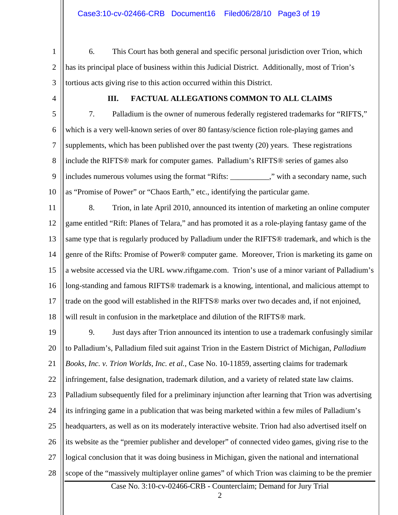1 2 3 6. This Court has both general and specific personal jurisdiction over Trion, which has its principal place of business within this Judicial District. Additionally, most of Trion's tortious acts giving rise to this action occurred within this District.

4

### **III. FACTUAL ALLEGATIONS COMMON TO ALL CLAIMS**

5 6 7 8 9 10 7. Palladium is the owner of numerous federally registered trademarks for "RIFTS," which is a very well-known series of over 80 fantasy/science fiction role-playing games and supplements, which has been published over the past twenty (20) years. These registrations include the RIFTS® mark for computer games. Palladium's RIFTS® series of games also includes numerous volumes using the format "Rifts: \_\_\_\_\_\_\_\_\_\_," with a secondary name, such as "Promise of Power" or "Chaos Earth," etc., identifying the particular game.

11 12 13 14 15 16 17 18 8. Trion, in late April 2010, announced its intention of marketing an online computer game entitled "Rift: Planes of Telara," and has promoted it as a role-playing fantasy game of the same type that is regularly produced by Palladium under the RIFTS® trademark, and which is the genre of the Rifts: Promise of Power® computer game. Moreover, Trion is marketing its game on a website accessed via the URL www.riftgame.com. Trion's use of a minor variant of Palladium's long-standing and famous RIFTS® trademark is a knowing, intentional, and malicious attempt to trade on the good will established in the RIFTS® marks over two decades and, if not enjoined, will result in confusion in the marketplace and dilution of the RIFTS<sup>®</sup> mark.

19 20 21 22 23 24 25 26 27 28 9. Just days after Trion announced its intention to use a trademark confusingly similar to Palladium's, Palladium filed suit against Trion in the Eastern District of Michigan, *Palladium Books, Inc. v. Trion Worlds, Inc. et al.,* Case No. 10-11859, asserting claims for trademark infringement, false designation, trademark dilution, and a variety of related state law claims. Palladium subsequently filed for a preliminary injunction after learning that Trion was advertising its infringing game in a publication that was being marketed within a few miles of Palladium's headquarters, as well as on its moderately interactive website. Trion had also advertised itself on its website as the "premier publisher and developer" of connected video games, giving rise to the logical conclusion that it was doing business in Michigan, given the national and international scope of the "massively multiplayer online games" of which Trion was claiming to be the premier

Case No. 3:10-cv-02466-CRB **-** Counterclaim; Demand for Jury Trial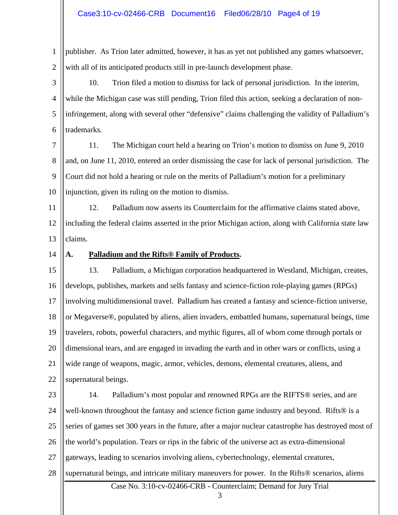1 2 publisher. As Trion later admitted, however, it has as yet not published any games whatsoever, with all of its anticipated products still in pre-launch development phase.

3 4 5 6 10. Trion filed a motion to dismiss for lack of personal jurisdiction. In the interim, while the Michigan case was still pending, Trion filed this action, seeking a declaration of noninfringement, along with several other "defensive" claims challenging the validity of Palladium's trademarks.

7 8 9 10 11. The Michigan court held a hearing on Trion's motion to dismiss on June 9, 2010 and, on June 11, 2010, entered an order dismissing the case for lack of personal jurisdiction. The Court did not hold a hearing or rule on the merits of Palladium's motion for a preliminary injunction, given its ruling on the motion to dismiss.

11 12 13 12. Palladium now asserts its Counterclaim for the affirmative claims stated above, including the federal claims asserted in the prior Michigan action, along with California state law claims.

14

# **A. Palladium and the Rifts® Family of Products.**

15 16 17 18 19 20 21 22 13. Palladium, a Michigan corporation headquartered in Westland, Michigan, creates, develops, publishes, markets and sells fantasy and science-fiction role-playing games (RPGs) involving multidimensional travel. Palladium has created a fantasy and science-fiction universe, or Megaverse®, populated by aliens, alien invaders, embattled humans, supernatural beings, time travelers, robots, powerful characters, and mythic figures, all of whom come through portals or dimensional tears, and are engaged in invading the earth and in other wars or conflicts, using a wide range of weapons, magic, armor, vehicles, demons, elemental creatures, aliens, and supernatural beings.

23 24 25 26 27 14. Palladium's most popular and renowned RPGs are the RIFTS® series, and are well-known throughout the fantasy and science fiction game industry and beyond. Rifts<sup>®</sup> is a series of games set 300 years in the future, after a major nuclear catastrophe has destroyed most of the world's population. Tears or rips in the fabric of the universe act as extra-dimensional gateways, leading to scenarios involving aliens, cybertechnology, elemental creatures,

28 supernatural beings, and intricate military maneuvers for power. In the Rifts® scenarios, aliens

Case No. 3:10-cv-02466-CRB **-** Counterclaim; Demand for Jury Trial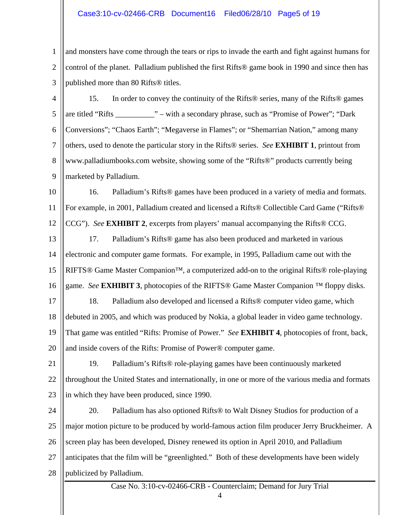### Case3:10-cv-02466-CRB Document16 Filed06/28/10 Page5 of 19

1 2 3 and monsters have come through the tears or rips to invade the earth and fight against humans for control of the planet. Palladium published the first Rifts® game book in 1990 and since then has published more than 80 Rifts® titles.

4 5 6 7 8 9 15. In order to convey the continuity of the Rifts® series, many of the Rifts® games are titled "Rifts \_\_\_\_\_\_\_\_\_\_" – with a secondary phrase, such as "Promise of Power"; "Dark Conversions"; "Chaos Earth"; "Megaverse in Flames"; or "Shemarrian Nation," among many others, used to denote the particular story in the Rifts® series. *See* **EXHIBIT 1**, printout from www.palladiumbooks.com website, showing some of the "Rifts®" products currently being marketed by Palladium.

10 11 12 16. Palladium's Rifts® games have been produced in a variety of media and formats. For example, in 2001, Palladium created and licensed a Rifts® Collectible Card Game ("Rifts® CCG"). *See* **EXHIBIT 2**, excerpts from players' manual accompanying the Rifts® CCG.

- 13 14 15 16 17. Palladium's Rifts® game has also been produced and marketed in various electronic and computer game formats. For example, in 1995, Palladium came out with the RIFTS® Game Master Companion™, a computerized add-on to the original Rifts® role-playing game. *See* **EXHIBIT 3**, photocopies of the RIFTS® Game Master Companion ™ floppy disks.
- 17 18 19 20 18. Palladium also developed and licensed a Rifts® computer video game, which debuted in 2005, and which was produced by Nokia, a global leader in video game technology. That game was entitled "Rifts: Promise of Power." *See* **EXHIBIT 4**, photocopies of front, back, and inside covers of the Rifts: Promise of Power® computer game.
- 21 22 23 19. Palladium's Rifts® role-playing games have been continuously marketed throughout the United States and internationally, in one or more of the various media and formats in which they have been produced, since 1990.
- 24 25 26 27 28 20. Palladium has also optioned Rifts® to Walt Disney Studios for production of a major motion picture to be produced by world-famous action film producer Jerry Bruckheimer. A screen play has been developed, Disney renewed its option in April 2010, and Palladium anticipates that the film will be "greenlighted." Both of these developments have been widely publicized by Palladium.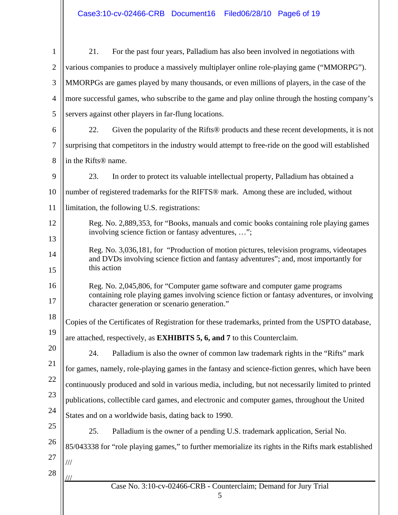| $\mathbf{1}$   | For the past four years, Palladium has also been involved in negotiations with<br>21.                                                                                                           |  |  |  |  |
|----------------|-------------------------------------------------------------------------------------------------------------------------------------------------------------------------------------------------|--|--|--|--|
| $\overline{2}$ | various companies to produce a massively multiplayer online role-playing game ("MMORPG").                                                                                                       |  |  |  |  |
| 3              | MMORPGs are games played by many thousands, or even millions of players, in the case of the                                                                                                     |  |  |  |  |
| $\overline{4}$ | more successful games, who subscribe to the game and play online through the hosting company's                                                                                                  |  |  |  |  |
| 5              | servers against other players in far-flung locations.                                                                                                                                           |  |  |  |  |
| 6              | 22.<br>Given the popularity of the Rifts® products and these recent developments, it is not                                                                                                     |  |  |  |  |
| $\overline{7}$ | surprising that competitors in the industry would attempt to free-ride on the good will established                                                                                             |  |  |  |  |
| 8              | in the Rifts <sup>®</sup> name.                                                                                                                                                                 |  |  |  |  |
| 9              | 23.<br>In order to protect its valuable intellectual property, Palladium has obtained a                                                                                                         |  |  |  |  |
| 10             | number of registered trademarks for the RIFTS® mark. Among these are included, without                                                                                                          |  |  |  |  |
| 11             | limitation, the following U.S. registrations:                                                                                                                                                   |  |  |  |  |
| 12             | Reg. No. 2,889,353, for "Books, manuals and comic books containing role playing games<br>involving science fiction or fantasy adventures, ";                                                    |  |  |  |  |
| 13             |                                                                                                                                                                                                 |  |  |  |  |
| 14             | Reg. No. 3,036,181, for "Production of motion pictures, television programs, videotapes<br>and DVDs involving science fiction and fantasy adventures"; and, most importantly for<br>this action |  |  |  |  |
| 15             |                                                                                                                                                                                                 |  |  |  |  |
| 16             | Reg. No. 2,045,806, for "Computer game software and computer game programs"                                                                                                                     |  |  |  |  |
| 17             | containing role playing games involving science fiction or fantasy adventures, or involving<br>character generation or scenario generation."                                                    |  |  |  |  |
| 18             | Copies of the Certificates of Registration for these trademarks, printed from the USPTO database,                                                                                               |  |  |  |  |
| 19             | are attached, respectively, as <b>EXHIBITS 5, 6, and 7</b> to this Counterclaim.                                                                                                                |  |  |  |  |
| 20             | Palladium is also the owner of common law trademark rights in the "Rifts" mark<br>24.                                                                                                           |  |  |  |  |
| 21             | for games, namely, role-playing games in the fantasy and science-fiction genres, which have been                                                                                                |  |  |  |  |
| 22             | continuously produced and sold in various media, including, but not necessarily limited to printed                                                                                              |  |  |  |  |
| 23             | publications, collectible card games, and electronic and computer games, throughout the United                                                                                                  |  |  |  |  |
| 24             | States and on a worldwide basis, dating back to 1990.                                                                                                                                           |  |  |  |  |
| 25             | 25.<br>Palladium is the owner of a pending U.S. trademark application, Serial No.                                                                                                               |  |  |  |  |
| 26             | 85/043338 for "role playing games," to further memorialize its rights in the Rifts mark established                                                                                             |  |  |  |  |
| 27             | ///                                                                                                                                                                                             |  |  |  |  |
| 28             |                                                                                                                                                                                                 |  |  |  |  |
|                | Case No. 3:10-cv-02466-CRB - Counterclaim; Demand for Jury Trial<br>5                                                                                                                           |  |  |  |  |
|                |                                                                                                                                                                                                 |  |  |  |  |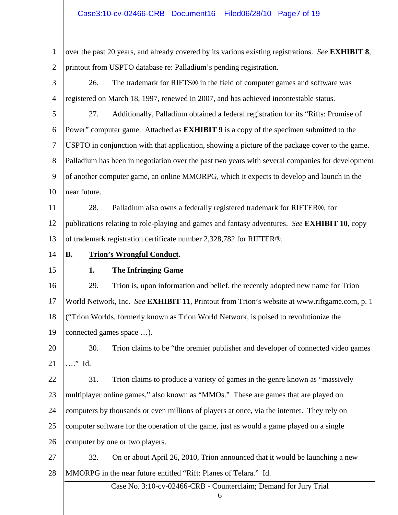### Case3:10-cv-02466-CRB Document16 Filed06/28/10 Page7 of 19

1 2 over the past 20 years, and already covered by its various existing registrations. *See* **EXHIBIT 8**, printout from USPTO database re: Palladium's pending registration.

3 4 26. The trademark for RIFTS® in the field of computer games and software was registered on March 18, 1997, renewed in 2007, and has achieved incontestable status.

5 6 7 8 9 10 27. Additionally, Palladium obtained a federal registration for its "Rifts: Promise of Power" computer game. Attached as **EXHIBIT 9** is a copy of the specimen submitted to the USPTO in conjunction with that application, showing a picture of the package cover to the game. Palladium has been in negotiation over the past two years with several companies for development of another computer game, an online MMORPG, which it expects to develop and launch in the near future.

11 12 13 28. Palladium also owns a federally registered trademark for RIFTER®, for publications relating to role-playing and games and fantasy adventures. *See* **EXHIBIT 10**, copy of trademark registration certificate number 2,328,782 for RIFTER®.

14

#### **B. Trion's Wrongful Conduct.**

### 15

### **1. The Infringing Game**

16 17 18 19 29. Trion is, upon information and belief, the recently adopted new name for Trion World Network, Inc. *See* **EXHIBIT 11**, Printout from Trion's website at www.riftgame.com, p. 1 ("Trion Worlds, formerly known as Trion World Network, is poised to revolutionize the connected games space …).

20 21 30. Trion claims to be "the premier publisher and developer of connected video games …." Id.

22 23 24 25 26 31. Trion claims to produce a variety of games in the genre known as "massively multiplayer online games," also known as "MMOs." These are games that are played on computers by thousands or even millions of players at once, via the internet. They rely on computer software for the operation of the game, just as would a game played on a single computer by one or two players.

27 28 32. On or about April 26, 2010, Trion announced that it would be launching a new MMORPG in the near future entitled "Rift: Planes of Telara." Id.

Case No. 3:10-cv-02466-CRB **-** Counterclaim; Demand for Jury Trial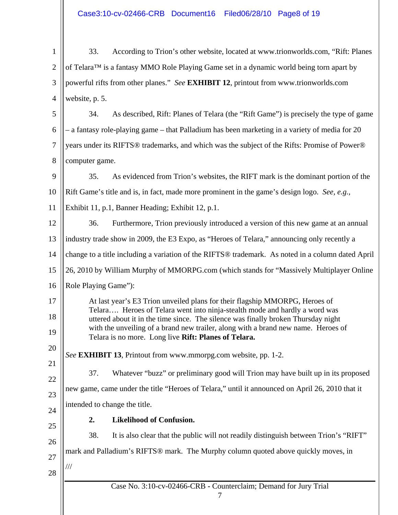Case No. 3:10-cv-02466-CRB **-** Counterclaim; Demand for Jury Trial 7 1 2 3 4 5 6 7 8 9 10 11 12 13 14 15 16 17 18 19 20 21 22 23 24 25 26 27 28 33. According to Trion's other website, located at www.trionworlds.com, "Rift: Planes of Telara™ is a fantasy MMO Role Playing Game set in a dynamic world being torn apart by powerful rifts from other planes." *See* **EXHIBIT 12**, printout from www.trionworlds.com website, p. 5. 34. As described, Rift: Planes of Telara (the "Rift Game") is precisely the type of game – a fantasy role-playing game – that Palladium has been marketing in a variety of media for 20 years under its RIFTS® trademarks, and which was the subject of the Rifts: Promise of Power® computer game. 35. As evidenced from Trion's websites, the RIFT mark is the dominant portion of the Rift Game's title and is, in fact, made more prominent in the game's design logo. *See, e.g.,* Exhibit 11, p.1, Banner Heading; Exhibit 12, p.1. 36. Furthermore, Trion previously introduced a version of this new game at an annual industry trade show in 2009, the E3 Expo, as "Heroes of Telara," announcing only recently a change to a title including a variation of the RIFTS® trademark. As noted in a column dated April 26, 2010 by William Murphy of MMORPG.com (which stands for "Massively Multiplayer Online Role Playing Game"): At last year's E3 Trion unveiled plans for their flagship MMORPG, Heroes of Telara…. Heroes of Telara went into ninja-stealth mode and hardly a word was uttered about it in the time since. The silence was finally broken Thursday night with the unveiling of a brand new trailer, along with a brand new name. Heroes of Telara is no more. Long live **Rift: Planes of Telara.**  *See* **EXHIBIT 13**, Printout from www.mmorpg.com website, pp. 1-2. 37. Whatever "buzz" or preliminary good will Trion may have built up in its proposed new game, came under the title "Heroes of Telara," until it announced on April 26, 2010 that it intended to change the title. **2. Likelihood of Confusion.**  38. It is also clear that the public will not readily distinguish between Trion's "RIFT" mark and Palladium's RIFTS® mark. The Murphy column quoted above quickly moves, in ///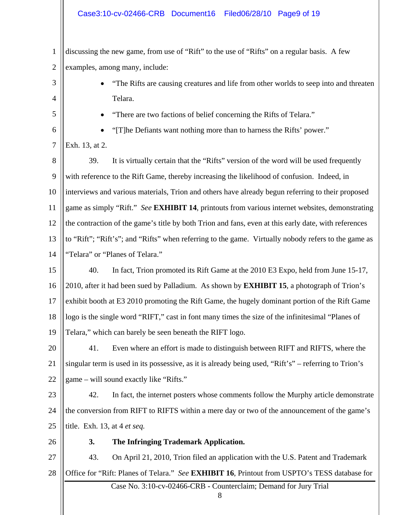1 2 discussing the new game, from use of "Rift" to the use of "Rifts" on a regular basis. A few examples, among many, include:

3 4 • "The Rifts are causing creatures and life from other worlds to seep into and threaten Telara.

5 6 • "There are two factions of belief concerning the Rifts of Telara."

7 Exh. 13, at 2.

• "[T]he Defiants want nothing more than to harness the Rifts' power."

- 8 9 10 11 12 13 39. It is virtually certain that the "Rifts" version of the word will be used frequently with reference to the Rift Game, thereby increasing the likelihood of confusion. Indeed, in interviews and various materials, Trion and others have already begun referring to their proposed game as simply "Rift." *See* **EXHIBIT 14**, printouts from various internet websites, demonstrating the contraction of the game's title by both Trion and fans, even at this early date, with references to "Rift"; "Rift's"; and "Rifts" when referring to the game. Virtually nobody refers to the game as
- 14 "Telara" or "Planes of Telara."

15 16 17 18 19 40. In fact, Trion promoted its Rift Game at the 2010 E3 Expo, held from June 15-17, 2010, after it had been sued by Palladium. As shown by **EXHIBIT 15**, a photograph of Trion's exhibit booth at E3 2010 promoting the Rift Game, the hugely dominant portion of the Rift Game logo is the single word "RIFT," cast in font many times the size of the infinitesimal "Planes of Telara," which can barely be seen beneath the RIFT logo.

20 21 22 41. Even where an effort is made to distinguish between RIFT and RIFTS, where the singular term is used in its possessive, as it is already being used, "Rift's" – referring to Trion's game – will sound exactly like "Rifts."

23 24 25 42. In fact, the internet posters whose comments follow the Murphy article demonstrate the conversion from RIFT to RIFTS within a mere day or two of the announcement of the game's title. Exh. 13, at 4 *et seq.*

26

# **3. The Infringing Trademark Application.**

27 28 43. On April 21, 2010, Trion filed an application with the U.S. Patent and Trademark Office for "Rift: Planes of Telara." *See* **EXHIBIT 16**, Printout from USPTO's TESS database for

Case No. 3:10-cv-02466-CRB **-** Counterclaim; Demand for Jury Trial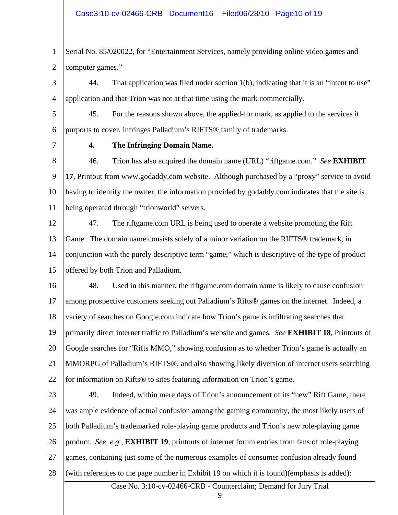1 2 Serial No. 85/020022, for "Entertainment Services, namely providing online video games and computer games."

3 4 44. That application was filed under section 1(b), indicating that it is an "intent to use" application and that Trion was not at that time using the mark commercially.

5 6 45. For the reasons shown above, the applied-for mark, as applied to the services it purports to cover, infringes Palladium's RIFTS® family of trademarks.

7

### **4. The Infringing Domain Name.**

8 9 10 11 46. Trion has also acquired the domain name (URL) "riftgame.com." *See* **EXHIBIT 17**, Printout from www.godaddy.com website. Although purchased by a "proxy" service to avoid having to identify the owner, the information provided by godaddy.com indicates that the site is being operated through "trionworld" servers.

12 13 14 15 47. The riftgame.com URL is being used to operate a website promoting the Rift Game. The domain name consists solely of a minor variation on the RIFTS® trademark, in conjunction with the purely descriptive term "game," which is descriptive of the type of product offered by both Trion and Palladium.

16 17 18 19 20 21 22 48. Used in this manner, the riftgame.com domain name is likely to cause confusion among prospective customers seeking out Palladium's Rifts® games on the internet. Indeed, a variety of searches on Google.com indicate how Trion's game is infiltrating searches that primarily direct internet traffic to Palladium's website and games. *See* **EXHIBIT 18**, Printouts of Google searches for "Rifts MMO," showing confusion as to whether Trion's game is actually an MMORPG of Palladium's RIFTS®, and also showing likely diversion of internet users searching for information on Rifts® to sites featuring information on Trion's game.

23 24 25 26 27 28 49. Indeed, within mere days of Trion's announcement of its "new" Rift Game, there was ample evidence of actual confusion among the gaming community, the most likely users of both Palladium's trademarked role-playing game products and Trion's new role-playing game product. *See, e.g.,* **EXHIBIT 19**, printouts of internet forum entries from fans of role-playing games, containing just some of the numerous examples of consumer confusion already found (with references to the page number in Exhibit 19 on which it is found)(emphasis is added):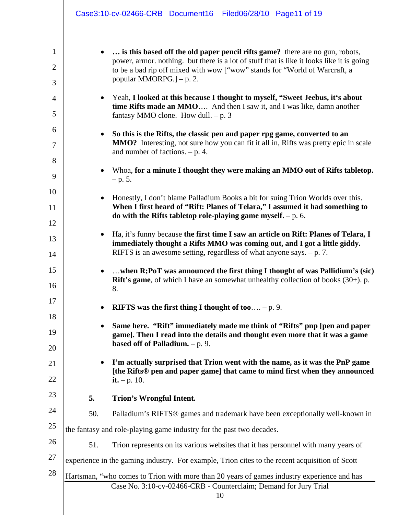|             | Case3:10-cv-02466-CRB Document16 Filed06/28/10 Page11 of 19                                                                                                                                                                                                                           |
|-------------|---------------------------------------------------------------------------------------------------------------------------------------------------------------------------------------------------------------------------------------------------------------------------------------|
| 1<br>2<br>3 | is this based off the old paper pencil rifts game? there are no gun, robots,<br>power, armor. nothing. but there is a lot of stuff that is like it looks like it is going<br>to be a bad rip off mixed with wow ["wow" stands for "World of Warcraft, a<br>popular MMORPG.] $- p. 2.$ |
| 4<br>5      | Yeah, I looked at this because I thought to myself, "Sweet Jeebus, it's about<br>$\bullet$<br>time Rifts made an MMO And then I saw it, and I was like, damn another<br>fantasy MMO clone. How dull. $-p.3$                                                                           |
| 6<br>7<br>8 | So this is the Rifts, the classic pen and paper rpg game, converted to an<br>MMO? Interesting, not sure how you can fit it all in, Rifts was pretty epic in scale<br>and number of factions. $- p. 4$ .                                                                               |
| 9           | Whoa, for a minute I thought they were making an MMO out of Rifts tabletop.<br>$- p. 5.$                                                                                                                                                                                              |
| 10<br>11    | Honestly, I don't blame Palladium Books a bit for suing Trion Worlds over this.<br>When I first heard of "Rift: Planes of Telara," I assumed it had something to                                                                                                                      |
| 12          | do with the Rifts tabletop role-playing game myself. $- p$ . 6.<br>Ha, it's funny because the first time I saw an article on Rift: Planes of Telara, I                                                                                                                                |
| 13<br>14    | immediately thought a Rifts MMO was coming out, and I got a little giddy.<br>RIFTS is an awesome setting, regardless of what anyone says. $- p. 7$ .                                                                                                                                  |
| 15<br>16    | when R;PoT was announced the first thing I thought of was Pallidium's (sic)<br>$\bullet$<br><b>Rift's game</b> , of which I have an somewhat unhealthy collection of books $(30+)$ . p.<br>8.                                                                                         |
| 17          | RIFTS was the first thing I thought of too – p. 9.                                                                                                                                                                                                                                    |
| 18<br>19    | Same here. "Rift" immediately made me think of "Rifts" pnp [pen and paper<br>game]. Then I read into the details and thought even more that it was a game<br>based off of Palladium. $- p. 9.$                                                                                        |
| 20<br>21    | I'm actually surprised that Trion went with the name, as it was the PnP game                                                                                                                                                                                                          |
| 22          | [the Rifts® pen and paper game] that came to mind first when they announced<br><b>it.</b> $-p. 10$ .                                                                                                                                                                                  |
| 23          | 5.<br>Trion's Wrongful Intent.                                                                                                                                                                                                                                                        |
| 24          | 50.<br>Palladium's RIFTS <sup>®</sup> games and trademark have been exceptionally well-known in                                                                                                                                                                                       |
| 25          | the fantasy and role-playing game industry for the past two decades.                                                                                                                                                                                                                  |
| 26          | 51.<br>Trion represents on its various websites that it has personnel with many years of                                                                                                                                                                                              |
| 27          | experience in the gaming industry. For example, Trion cites to the recent acquisition of Scott                                                                                                                                                                                        |
| 28          | Hartsman, "who comes to Trion with more than 20 years of games industry experience and has<br>Case No. 3:10-cv-02466-CRB - Counterclaim; Demand for Jury Trial<br>10                                                                                                                  |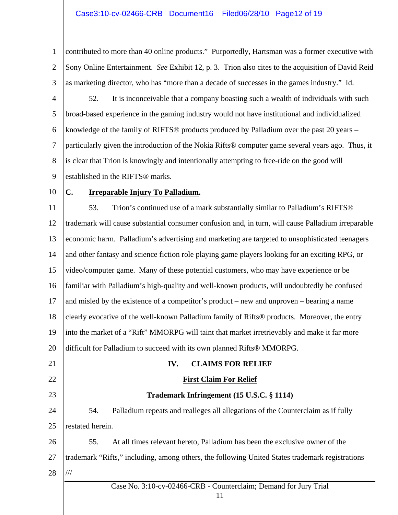1 2 3 contributed to more than 40 online products." Purportedly, Hartsman was a former executive with Sony Online Entertainment. *See* Exhibit 12, p. 3. Trion also cites to the acquisition of David Reid as marketing director, who has "more than a decade of successes in the games industry." Id.

- 4 5 6 7 8 9 52. It is inconceivable that a company boasting such a wealth of individuals with such broad-based experience in the gaming industry would not have institutional and individualized knowledge of the family of RIFTS® products produced by Palladium over the past 20 years – particularly given the introduction of the Nokia Rifts® computer game several years ago. Thus, it is clear that Trion is knowingly and intentionally attempting to free-ride on the good will established in the RIFTS® marks.
- 10

## **C. Irreparable Injury To Palladium.**

11 12 13 14 15 16 17 18 19 20 53. Trion's continued use of a mark substantially similar to Palladium's RIFTS® trademark will cause substantial consumer confusion and, in turn, will cause Palladium irreparable economic harm. Palladium's advertising and marketing are targeted to unsophisticated teenagers and other fantasy and science fiction role playing game players looking for an exciting RPG, or video/computer game. Many of these potential customers, who may have experience or be familiar with Palladium's high-quality and well-known products, will undoubtedly be confused and misled by the existence of a competitor's product – new and unproven – bearing a name clearly evocative of the well-known Palladium family of Rifts® products. Moreover, the entry into the market of a "Rift" MMORPG will taint that market irretrievably and make it far more difficult for Palladium to succeed with its own planned Rifts® MMORPG.

21 22 23 24 25 54. Palladium repeats and realleges all allegations of the Counterclaim as if fully restated herein.

26 27 28 55. At all times relevant hereto, Palladium has been the exclusive owner of the trademark "Rifts," including, among others, the following United States trademark registrations ///

Case No. 3:10-cv-02466-CRB **-** Counterclaim; Demand for Jury Trial

**IV. CLAIMS FOR RELIEF** 

**First Claim For Relief**

**Trademark Infringement (15 U.S.C. § 1114)**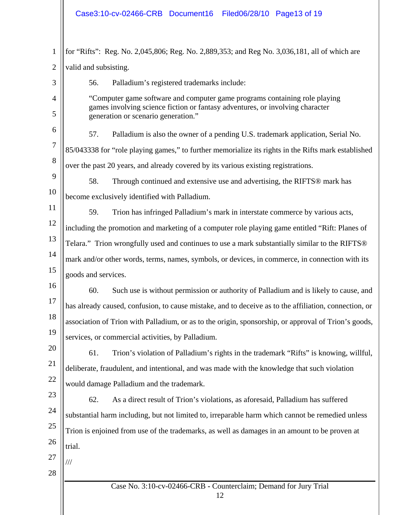Case No. 3:10-cv-02466-CRB **-** Counterclaim; Demand for Jury Trial 12 1 2 3 4 5 6 7 8 9 10 11 12 13 14 15 16 17 18 19 20 21 22 23 24 25 26 27 28 for "Rifts": Reg. No. 2,045,806; Reg. No. 2,889,353; and Reg No. 3,036,181, all of which are valid and subsisting. 56. Palladium's registered trademarks include: "Computer game software and computer game programs containing role playing games involving science fiction or fantasy adventures, or involving character generation or scenario generation." 57. Palladium is also the owner of a pending U.S. trademark application, Serial No. 85/043338 for "role playing games," to further memorialize its rights in the Rifts mark established over the past 20 years, and already covered by its various existing registrations. 58. Through continued and extensive use and advertising, the RIFTS® mark has become exclusively identified with Palladium. 59. Trion has infringed Palladium's mark in interstate commerce by various acts, including the promotion and marketing of a computer role playing game entitled "Rift: Planes of Telara." Trion wrongfully used and continues to use a mark substantially similar to the RIFTS® mark and/or other words, terms, names, symbols, or devices, in commerce, in connection with its goods and services. 60. Such use is without permission or authority of Palladium and is likely to cause, and has already caused, confusion, to cause mistake, and to deceive as to the affiliation, connection, or association of Trion with Palladium, or as to the origin, sponsorship, or approval of Trion's goods, services, or commercial activities, by Palladium. 61. Trion's violation of Palladium's rights in the trademark "Rifts" is knowing, willful, deliberate, fraudulent, and intentional, and was made with the knowledge that such violation would damage Palladium and the trademark. 62. As a direct result of Trion's violations, as aforesaid, Palladium has suffered substantial harm including, but not limited to, irreparable harm which cannot be remedied unless Trion is enjoined from use of the trademarks, as well as damages in an amount to be proven at trial. ///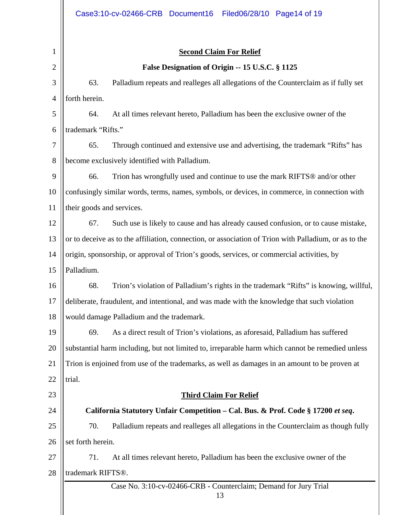| $\mathbf{1}$   |                                                                                           | <b>Second Claim For Relief</b>                                                                        |  |
|----------------|-------------------------------------------------------------------------------------------|-------------------------------------------------------------------------------------------------------|--|
| $\overline{2}$ |                                                                                           | False Designation of Origin -- 15 U.S.C. § 1125                                                       |  |
| 3              | 63.                                                                                       | Palladium repeats and realleges all allegations of the Counterclaim as if fully set                   |  |
| 4              | forth herein.                                                                             |                                                                                                       |  |
| 5              | 64.                                                                                       | At all times relevant hereto, Palladium has been the exclusive owner of the                           |  |
| 6              | trademark "Rifts."                                                                        |                                                                                                       |  |
| 7              | 65.                                                                                       | Through continued and extensive use and advertising, the trademark "Rifts" has                        |  |
| 8              | become exclusively identified with Palladium.                                             |                                                                                                       |  |
| 9              | 66.                                                                                       | Trion has wrongfully used and continue to use the mark RIFTS® and/or other                            |  |
| 10             |                                                                                           | confusingly similar words, terms, names, symbols, or devices, in commerce, in connection with         |  |
| 11             | their goods and services.                                                                 |                                                                                                       |  |
| 12             | 67.                                                                                       | Such use is likely to cause and has already caused confusion, or to cause mistake,                    |  |
| 13             |                                                                                           | or to deceive as to the affiliation, connection, or association of Trion with Palladium, or as to the |  |
| 14             | origin, sponsorship, or approval of Trion's goods, services, or commercial activities, by |                                                                                                       |  |
| 15             | Palladium.                                                                                |                                                                                                       |  |
| 16             | 68.                                                                                       | Trion's violation of Palladium's rights in the trademark "Rifts" is knowing, willful,                 |  |
| 17             |                                                                                           | deliberate, fraudulent, and intentional, and was made with the knowledge that such violation          |  |
| 18             |                                                                                           | would damage Palladium and the trademark.                                                             |  |
| 19             | 69.                                                                                       | As a direct result of Trion's violations, as aforesaid, Palladium has suffered                        |  |
| 20             |                                                                                           | substantial harm including, but not limited to, irreparable harm which cannot be remedied unless      |  |
| 21             |                                                                                           | Trion is enjoined from use of the trademarks, as well as damages in an amount to be proven at         |  |
| 22             | trial.                                                                                    |                                                                                                       |  |
| 23             |                                                                                           | <b>Third Claim For Relief</b>                                                                         |  |
| 24             |                                                                                           | California Statutory Unfair Competition - Cal. Bus. & Prof. Code § 17200 et seq.                      |  |
| 25             | 70.                                                                                       | Palladium repeats and realleges all allegations in the Counterclaim as though fully                   |  |
| 26             | set forth herein.                                                                         |                                                                                                       |  |
| 27             | 71.                                                                                       | At all times relevant hereto, Palladium has been the exclusive owner of the                           |  |
| 28             | trademark RIFTS®.                                                                         |                                                                                                       |  |
|                |                                                                                           | Case No. 3:10-cv-02466-CRB - Counterclaim; Demand for Jury Trial<br>13                                |  |
|                |                                                                                           |                                                                                                       |  |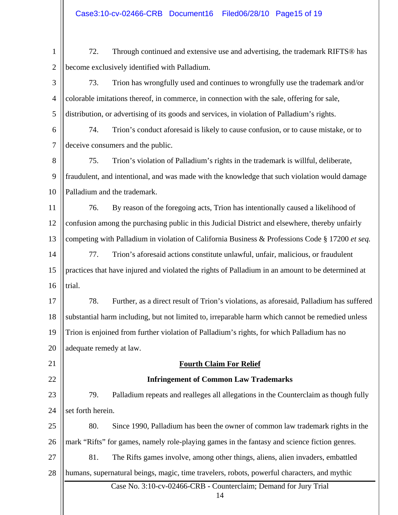1 2 72. Through continued and extensive use and advertising, the trademark RIFTS® has become exclusively identified with Palladium.

3 4 5 73. Trion has wrongfully used and continues to wrongfully use the trademark and/or colorable imitations thereof, in commerce, in connection with the sale, offering for sale, distribution, or advertising of its goods and services, in violation of Palladium's rights.

6 7 74. Trion's conduct aforesaid is likely to cause confusion, or to cause mistake, or to deceive consumers and the public.

8 9 10 75. Trion's violation of Palladium's rights in the trademark is willful, deliberate, fraudulent, and intentional, and was made with the knowledge that such violation would damage Palladium and the trademark.

11 12 13 76. By reason of the foregoing acts, Trion has intentionally caused a likelihood of confusion among the purchasing public in this Judicial District and elsewhere, thereby unfairly competing with Palladium in violation of California Business & Professions Code § 17200 *et seq.*

14 15 16 77. Trion's aforesaid actions constitute unlawful, unfair, malicious, or fraudulent practices that have injured and violated the rights of Palladium in an amount to be determined at trial.

17 18 19 20 78. Further, as a direct result of Trion's violations, as aforesaid, Palladium has suffered substantial harm including, but not limited to, irreparable harm which cannot be remedied unless Trion is enjoined from further violation of Palladium's rights, for which Palladium has no adequate remedy at law.

21

22

# **Fourth Claim For Relief**

## **Infringement of Common Law Trademarks**

23 24 79. Palladium repeats and realleges all allegations in the Counterclaim as though fully set forth herein.

25 26 80. Since 1990, Palladium has been the owner of common law trademark rights in the mark "Rifts" for games, namely role-playing games in the fantasy and science fiction genres.

27 28 81. The Rifts games involve, among other things, aliens, alien invaders, embattled humans, supernatural beings, magic, time travelers, robots, powerful characters, and mythic

Case No. 3:10-cv-02466-CRB **-** Counterclaim; Demand for Jury Trial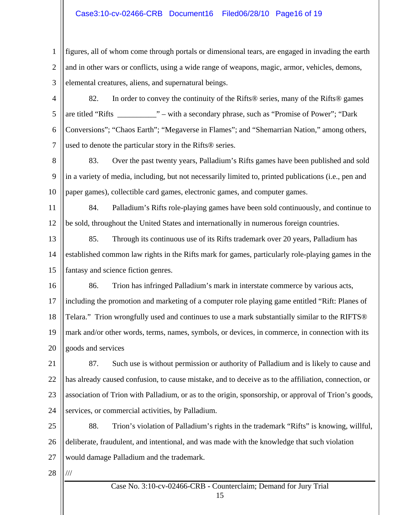## Case3:10-cv-02466-CRB Document16 Filed06/28/10 Page16 of 19

1 2 3 figures, all of whom come through portals or dimensional tears, are engaged in invading the earth and in other wars or conflicts, using a wide range of weapons, magic, armor, vehicles, demons, elemental creatures, aliens, and supernatural beings.

- 4 5 6 7 82. In order to convey the continuity of the Rifts® series, many of the Rifts® games are titled "Rifts \_\_\_\_\_\_\_\_\_\_" – with a secondary phrase, such as "Promise of Power"; "Dark Conversions"; "Chaos Earth"; "Megaverse in Flames"; and "Shemarrian Nation," among others, used to denote the particular story in the Rifts® series.
- 8 9 10 83. Over the past twenty years, Palladium's Rifts games have been published and sold in a variety of media, including, but not necessarily limited to, printed publications (i.e., pen and paper games), collectible card games, electronic games, and computer games.

11 12 84. Palladium's Rifts role-playing games have been sold continuously, and continue to be sold, throughout the United States and internationally in numerous foreign countries.

13 14 15 85. Through its continuous use of its Rifts trademark over 20 years, Palladium has established common law rights in the Rifts mark for games, particularly role-playing games in the fantasy and science fiction genres.

16 86. Trion has infringed Palladium's mark in interstate commerce by various acts,

17 18 19 20 including the promotion and marketing of a computer role playing game entitled "Rift: Planes of Telara." Trion wrongfully used and continues to use a mark substantially similar to the RIFTS® mark and/or other words, terms, names, symbols, or devices, in commerce, in connection with its goods and services

21 22 23 24 87. Such use is without permission or authority of Palladium and is likely to cause and has already caused confusion, to cause mistake, and to deceive as to the affiliation, connection, or association of Trion with Palladium, or as to the origin, sponsorship, or approval of Trion's goods, services, or commercial activities, by Palladium.

25 26 27 88. Trion's violation of Palladium's rights in the trademark "Rifts" is knowing, willful, deliberate, fraudulent, and intentional, and was made with the knowledge that such violation would damage Palladium and the trademark.

28 ///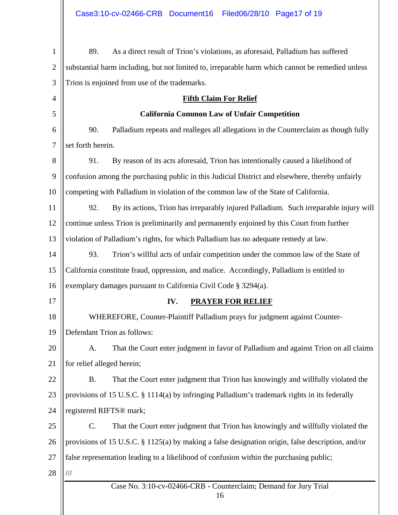| $\mathbf{1}$   | 89.<br>As a direct result of Trion's violations, as aforesaid, Palladium has suffered               |  |  |  |  |
|----------------|-----------------------------------------------------------------------------------------------------|--|--|--|--|
| $\overline{2}$ | substantial harm including, but not limited to, irreparable harm which cannot be remedied unless    |  |  |  |  |
| 3              | Trion is enjoined from use of the trademarks.                                                       |  |  |  |  |
| 4              | <b>Fifth Claim For Relief</b>                                                                       |  |  |  |  |
| 5              | <b>California Common Law of Unfair Competition</b>                                                  |  |  |  |  |
| 6              | 90.<br>Palladium repeats and realleges all allegations in the Counterclaim as though fully          |  |  |  |  |
| 7              | set forth herein.                                                                                   |  |  |  |  |
| 8              | 91.<br>By reason of its acts aforesaid, Trion has intentionally caused a likelihood of              |  |  |  |  |
| 9              | confusion among the purchasing public in this Judicial District and elsewhere, thereby unfairly     |  |  |  |  |
| 10             | competing with Palladium in violation of the common law of the State of California.                 |  |  |  |  |
| 11             | 92.<br>By its actions, Trion has irreparably injured Palladium. Such irreparable injury will        |  |  |  |  |
| 12             | continue unless Trion is preliminarily and permanently enjoined by this Court from further          |  |  |  |  |
| 13             | violation of Palladium's rights, for which Palladium has no adequate remedy at law.                 |  |  |  |  |
| 14             | 93.<br>Trion's willful acts of unfair competition under the common law of the State of              |  |  |  |  |
| 15             | California constitute fraud, oppression, and malice. Accordingly, Palladium is entitled to          |  |  |  |  |
| 16             | exemplary damages pursuant to California Civil Code § 3294(a).                                      |  |  |  |  |
| 17             | IV.<br><b>PRAYER FOR RELIEF</b>                                                                     |  |  |  |  |
| 18             | WHEREFORE, Counter-Plaintiff Palladium prays for judgment against Counter-                          |  |  |  |  |
| 19             | Defendant Trion as follows:                                                                         |  |  |  |  |
| 20             | That the Court enter judgment in favor of Palladium and against Trion on all claims<br>A.           |  |  |  |  |
| 21             | for relief alleged herein;                                                                          |  |  |  |  |
| 22             | That the Court enter judgment that Trion has knowingly and willfully violated the<br><b>B.</b>      |  |  |  |  |
| 23             | provisions of 15 U.S.C. § 1114(a) by infringing Palladium's trademark rights in its federally       |  |  |  |  |
| 24             | registered RIFTS <sup>®</sup> mark;                                                                 |  |  |  |  |
| 25             | That the Court enter judgment that Trion has knowingly and willfully violated the<br>$\mathbf{C}$ . |  |  |  |  |
| 26             | provisions of 15 U.S.C. § 1125(a) by making a false designation origin, false description, and/or   |  |  |  |  |
| 27             | false representation leading to a likelihood of confusion within the purchasing public;             |  |  |  |  |
| 28             | $/\!/ \!/$                                                                                          |  |  |  |  |
|                | Case No. 3:10-cv-02466-CRB - Counterclaim; Demand for Jury Trial<br>16                              |  |  |  |  |
|                |                                                                                                     |  |  |  |  |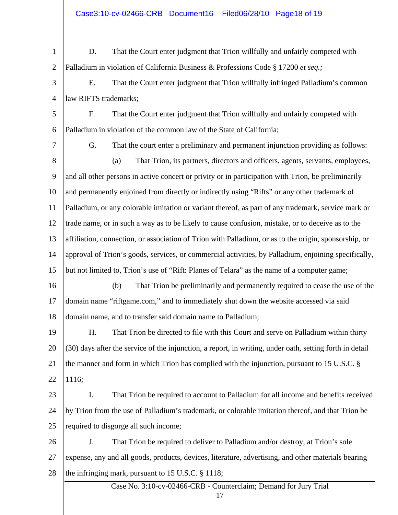1 2 D. That the Court enter judgment that Trion willfully and unfairly competed with Palladium in violation of California Business & Professions Code § 17200 *et seq.;*

3 4 E. That the Court enter judgment that Trion willfully infringed Palladium's common law RIFTS trademarks;

5 6 F. That the Court enter judgment that Trion willfully and unfairly competed with Palladium in violation of the common law of the State of California;

- 7 8 9 10 11 12 13 14 15 G. That the court enter a preliminary and permanent injunction providing as follows: (a) That Trion, its partners, directors and officers, agents, servants, employees, and all other persons in active concert or privity or in participation with Trion, be preliminarily and permanently enjoined from directly or indirectly using "Rifts" or any other trademark of Palladium, or any colorable imitation or variant thereof, as part of any trademark, service mark or trade name, or in such a way as to be likely to cause confusion, mistake, or to deceive as to the affiliation, connection, or association of Trion with Palladium, or as to the origin, sponsorship, or approval of Trion's goods, services, or commercial activities, by Palladium, enjoining specifically, but not limited to, Trion's use of "Rift: Planes of Telara" as the name of a computer game;
- 16 17 18 (b) That Trion be preliminarily and permanently required to cease the use of the domain name "riftgame.com," and to immediately shut down the website accessed via said domain name, and to transfer said domain name to Palladium;

19 20 21 22 H. That Trion be directed to file with this Court and serve on Palladium within thirty (30) days after the service of the injunction, a report, in writing, under oath, setting forth in detail the manner and form in which Trion has complied with the injunction, pursuant to 15 U.S.C. § 1116;

23 24 25 I. That Trion be required to account to Palladium for all income and benefits received by Trion from the use of Palladium's trademark, or colorable imitation thereof, and that Trion be required to disgorge all such income;

26 27 28 J. That Trion be required to deliver to Palladium and/or destroy, at Trion's sole expense, any and all goods, products, devices, literature, advertising, and other materials bearing the infringing mark, pursuant to 15 U.S.C. § 1118;

> Case No. 3:10-cv-02466-CRB **-** Counterclaim; Demand for Jury Trial 17